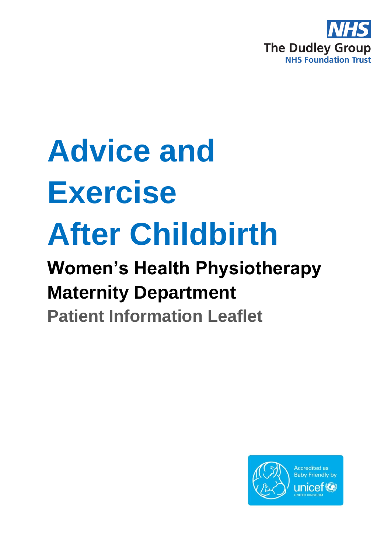

# **Advice and Exercise After Childbirth**

## **Women's Health Physiotherapy Maternity Department**

**Patient Information Leaflet**

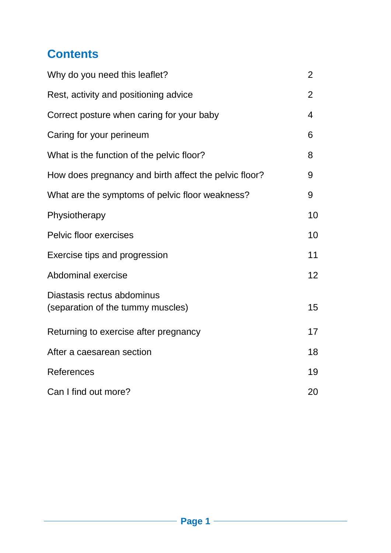## **Contents**

| Why do you need this leaflet?                                   | $\overline{2}$  |
|-----------------------------------------------------------------|-----------------|
| Rest, activity and positioning advice                           | $\overline{2}$  |
| Correct posture when caring for your baby                       | 4               |
| Caring for your perineum                                        | 6               |
| What is the function of the pelvic floor?                       | 8               |
| How does pregnancy and birth affect the pelvic floor?           | 9               |
| What are the symptoms of pelvic floor weakness?                 | 9               |
| Physiotherapy                                                   | 10              |
| <b>Pelvic floor exercises</b>                                   | 10              |
| Exercise tips and progression                                   | 11              |
| Abdominal exercise                                              | 12 <sup>2</sup> |
| Diastasis rectus abdominus<br>(separation of the tummy muscles) | 15              |
| Returning to exercise after pregnancy                           | 17              |
| After a caesarean section                                       | 18              |
| <b>References</b>                                               | 19              |
| Can I find out more?                                            | 20              |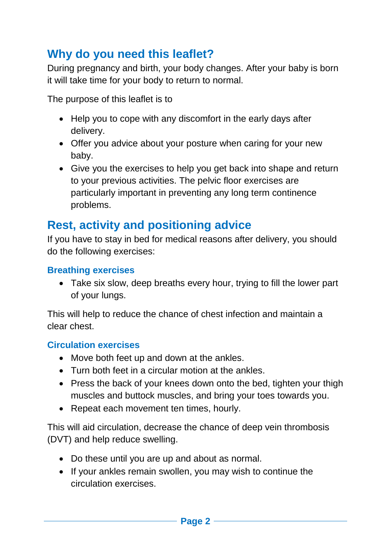## **Why do you need this leaflet?**

During pregnancy and birth, your body changes. After your baby is born it will take time for your body to return to normal.

The purpose of this leaflet is to

- Help you to cope with any discomfort in the early days after delivery.
- Offer you advice about your posture when caring for your new baby.
- Give you the exercises to help you get back into shape and return to your previous activities. The pelvic floor exercises are particularly important in preventing any long term continence problems.

## **Rest, activity and positioning advice**

If you have to stay in bed for medical reasons after delivery, you should do the following exercises:

## **Breathing exercises**

• Take six slow, deep breaths every hour, trying to fill the lower part of your lungs.

This will help to reduce the chance of chest infection and maintain a clear chest.

#### **Circulation exercises**

- Move both feet up and down at the ankles.
- Turn both feet in a circular motion at the ankles.
- Press the back of your knees down onto the bed, tighten your thigh muscles and buttock muscles, and bring your toes towards you.
- Repeat each movement ten times, hourly.

This will aid circulation, decrease the chance of deep vein thrombosis (DVT) and help reduce swelling.

- Do these until you are up and about as normal.
- If your ankles remain swollen, you may wish to continue the circulation exercises.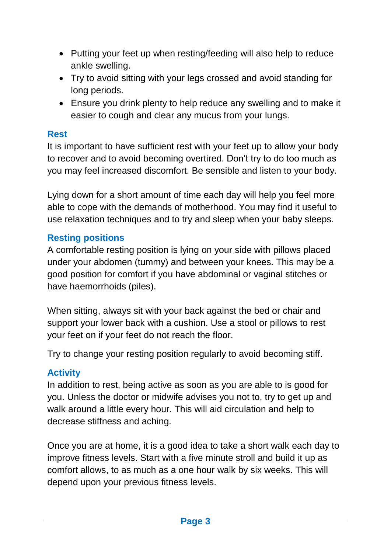- Putting your feet up when resting/feeding will also help to reduce ankle swelling.
- Try to avoid sitting with your legs crossed and avoid standing for long periods.
- Ensure you drink plenty to help reduce any swelling and to make it easier to cough and clear any mucus from your lungs.

#### **Rest**

It is important to have sufficient rest with your feet up to allow your body to recover and to avoid becoming overtired. Don't try to do too much as you may feel increased discomfort. Be sensible and listen to your body.

Lying down for a short amount of time each day will help you feel more able to cope with the demands of motherhood. You may find it useful to use relaxation techniques and to try and sleep when your baby sleeps.

#### **Resting positions**

A comfortable resting position is lying on your side with pillows placed under your abdomen (tummy) and between your knees. This may be a good position for comfort if you have abdominal or vaginal stitches or have haemorrhoids (piles).

When sitting, always sit with your back against the bed or chair and support your lower back with a cushion. Use a stool or pillows to rest your feet on if your feet do not reach the floor.

Try to change your resting position regularly to avoid becoming stiff.

## **Activity**

In addition to rest, being active as soon as you are able to is good for you. Unless the doctor or midwife advises you not to, try to get up and walk around a little every hour. This will aid circulation and help to decrease stiffness and aching.

Once you are at home, it is a good idea to take a short walk each day to improve fitness levels. Start with a five minute stroll and build it up as comfort allows, to as much as a one hour walk by six weeks. This will depend upon your previous fitness levels.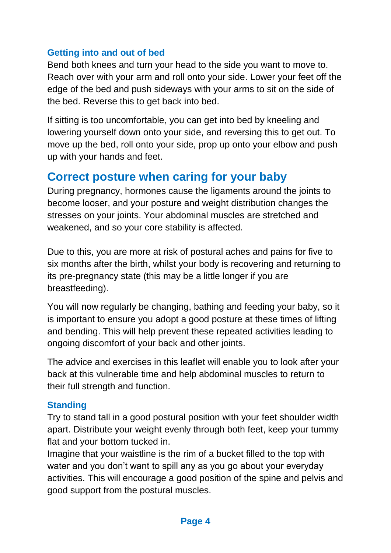## **Getting into and out of bed**

Bend both knees and turn your head to the side you want to move to. Reach over with your arm and roll onto your side. Lower your feet off the edge of the bed and push sideways with your arms to sit on the side of the bed. Reverse this to get back into bed.

If sitting is too uncomfortable, you can get into bed by kneeling and lowering yourself down onto your side, and reversing this to get out. To move up the bed, roll onto your side, prop up onto your elbow and push up with your hands and feet.

## **Correct posture when caring for your baby**

During pregnancy, hormones cause the ligaments around the joints to become looser, and your posture and weight distribution changes the stresses on your joints. Your abdominal muscles are stretched and weakened, and so your core stability is affected.

Due to this, you are more at risk of postural aches and pains for five to six months after the birth, whilst your body is recovering and returning to its pre-pregnancy state (this may be a little longer if you are breastfeeding).

You will now regularly be changing, bathing and feeding your baby, so it is important to ensure you adopt a good posture at these times of lifting and bending. This will help prevent these repeated activities leading to ongoing discomfort of your back and other joints.

The advice and exercises in this leaflet will enable you to look after your back at this vulnerable time and help abdominal muscles to return to their full strength and function.

#### **Standing**

Try to stand tall in a good postural position with your feet shoulder width apart. Distribute your weight evenly through both feet, keep your tummy flat and your bottom tucked in.

Imagine that your waistline is the rim of a bucket filled to the top with water and you don't want to spill any as you go about your everyday activities. This will encourage a good position of the spine and pelvis and good support from the postural muscles.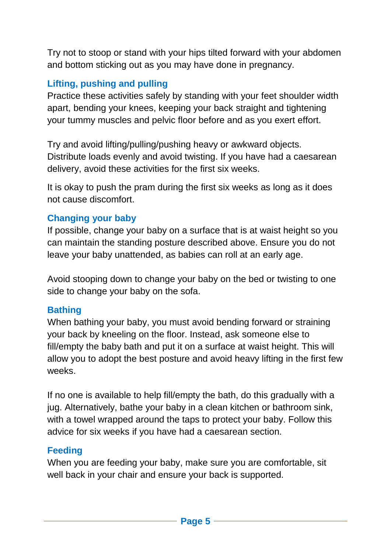Try not to stoop or stand with your hips tilted forward with your abdomen and bottom sticking out as you may have done in pregnancy.

## **Lifting, pushing and pulling**

Practice these activities safely by standing with your feet shoulder width apart, bending your knees, keeping your back straight and tightening your tummy muscles and pelvic floor before and as you exert effort.

Try and avoid lifting/pulling/pushing heavy or awkward objects. Distribute loads evenly and avoid twisting. If you have had a caesarean delivery, avoid these activities for the first six weeks.

It is okay to push the pram during the first six weeks as long as it does not cause discomfort.

#### **Changing your baby**

If possible, change your baby on a surface that is at waist height so you can maintain the standing posture described above. Ensure you do not leave your baby unattended, as babies can roll at an early age.

Avoid stooping down to change your baby on the bed or twisting to one side to change your baby on the sofa.

#### **Bathing**

When bathing your baby, you must avoid bending forward or straining your back by kneeling on the floor. Instead, ask someone else to fill/empty the baby bath and put it on a surface at waist height. This will allow you to adopt the best posture and avoid heavy lifting in the first few weeks.

If no one is available to help fill/empty the bath, do this gradually with a jug. Alternatively, bathe your baby in a clean kitchen or bathroom sink, with a towel wrapped around the taps to protect your baby. Follow this advice for six weeks if you have had a caesarean section.

#### **Feeding**

When you are feeding your baby, make sure you are comfortable, sit well back in your chair and ensure your back is supported.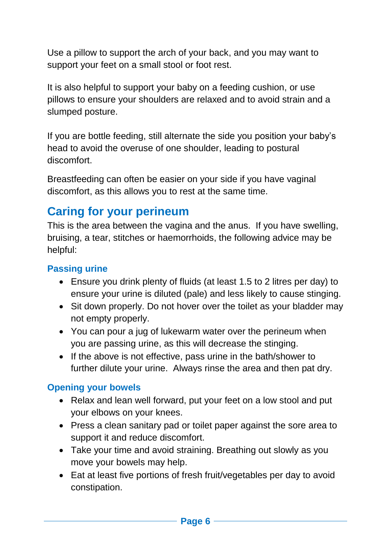Use a pillow to support the arch of your back, and you may want to support your feet on a small stool or foot rest.

It is also helpful to support your baby on a feeding cushion, or use pillows to ensure your shoulders are relaxed and to avoid strain and a slumped posture.

If you are bottle feeding, still alternate the side you position your baby's head to avoid the overuse of one shoulder, leading to postural discomfort.

Breastfeeding can often be easier on your side if you have vaginal discomfort, as this allows you to rest at the same time.

## **Caring for your perineum**

This is the area between the vagina and the anus. If you have swelling, bruising, a tear, stitches or haemorrhoids, the following advice may be helpful:

#### **Passing urine**

- Ensure you drink plenty of fluids (at least 1.5 to 2 litres per day) to ensure your urine is diluted (pale) and less likely to cause stinging.
- Sit down properly. Do not hover over the toilet as your bladder may not empty properly.
- You can pour a jug of lukewarm water over the perineum when you are passing urine, as this will decrease the stinging.
- If the above is not effective, pass urine in the bath/shower to further dilute your urine. Always rinse the area and then pat dry.

#### **Opening your bowels**

- Relax and lean well forward, put your feet on a low stool and put your elbows on your knees.
- Press a clean sanitary pad or toilet paper against the sore area to support it and reduce discomfort.
- Take your time and avoid straining. Breathing out slowly as you move your bowels may help.
- Eat at least five portions of fresh fruit/vegetables per day to avoid constipation.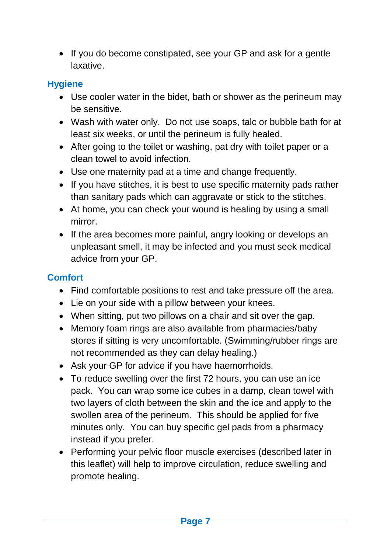• If you do become constipated, see your GP and ask for a gentle laxative.

## **Hygiene**

- Use cooler water in the bidet, bath or shower as the perineum may be sensitive.
- Wash with water only. Do not use soaps, talc or bubble bath for at least six weeks, or until the perineum is fully healed.
- After going to the toilet or washing, pat dry with toilet paper or a clean towel to avoid infection.
- Use one maternity pad at a time and change frequently.
- If you have stitches, it is best to use specific maternity pads rather than sanitary pads which can aggravate or stick to the stitches.
- At home, you can check your wound is healing by using a small mirror.
- If the area becomes more painful, angry looking or develops an unpleasant smell, it may be infected and you must seek medical advice from your GP.

## **Comfort**

- Find comfortable positions to rest and take pressure off the area.
- Lie on your side with a pillow between your knees.
- When sitting, put two pillows on a chair and sit over the gap.
- Memory foam rings are also available from pharmacies/baby stores if sitting is very uncomfortable. (Swimming/rubber rings are not recommended as they can delay healing.)
- Ask your GP for advice if you have haemorrhoids.
- To reduce swelling over the first 72 hours, you can use an ice pack. You can wrap some ice cubes in a damp, clean towel with two layers of cloth between the skin and the ice and apply to the swollen area of the perineum. This should be applied for five minutes only. You can buy specific gel pads from a pharmacy instead if you prefer.
- Performing your pelvic floor muscle exercises (described later in this leaflet) will help to improve circulation, reduce swelling and promote healing.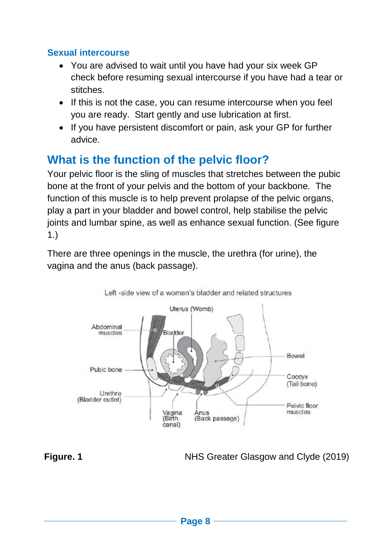## **Sexual intercourse**

- You are advised to wait until you have had your six week GP check before resuming sexual intercourse if you have had a tear or stitches.
- If this is not the case, you can resume intercourse when you feel you are ready. Start gently and use lubrication at first.
- If you have persistent discomfort or pain, ask your GP for further advice.

## **What is the function of the pelvic floor?**

Your pelvic floor is the sling of muscles that stretches between the pubic bone at the front of your pelvis and the bottom of your backbone. The function of this muscle is to help prevent prolapse of the pelvic organs, play a part in your bladder and bowel control, help stabilise the pelvic joints and lumbar spine, as well as enhance sexual function. (See figure 1.)

There are three openings in the muscle, the urethra (for urine), the vagina and the anus (back passage).



**Figure. 1** NHS Greater Glasgow and Clyde (2019)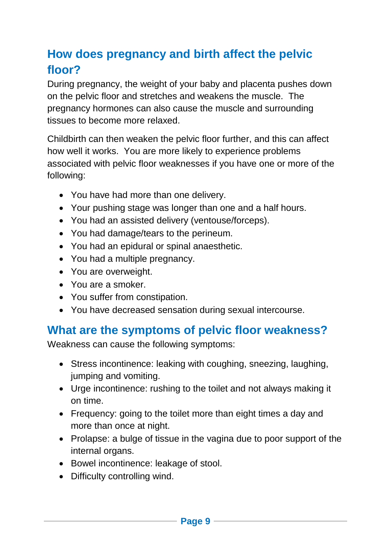## **How does pregnancy and birth affect the pelvic floor?**

During pregnancy, the weight of your baby and placenta pushes down on the pelvic floor and stretches and weakens the muscle. The pregnancy hormones can also cause the muscle and surrounding tissues to become more relaxed.

Childbirth can then weaken the pelvic floor further, and this can affect how well it works. You are more likely to experience problems associated with pelvic floor weaknesses if you have one or more of the following:

- You have had more than one delivery.
- Your pushing stage was longer than one and a half hours.
- You had an assisted delivery (ventouse/forceps).
- You had damage/tears to the perineum.
- You had an epidural or spinal anaesthetic.
- You had a multiple pregnancy.
- You are overweight.
- You are a smoker.
- You suffer from constipation.
- You have decreased sensation during sexual intercourse.

## **What are the symptoms of pelvic floor weakness?**

Weakness can cause the following symptoms:

- Stress incontinence: leaking with coughing, sneezing, laughing, jumping and vomiting.
- Urge incontinence: rushing to the toilet and not always making it on time.
- Frequency: going to the toilet more than eight times a day and more than once at night.
- Prolapse: a bulge of tissue in the vagina due to poor support of the internal organs.
- Bowel incontinence: leakage of stool.
- Difficulty controlling wind.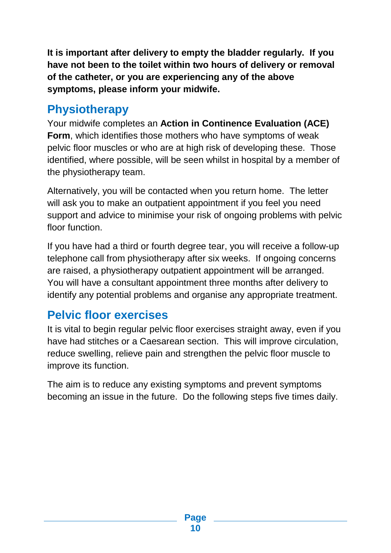**It is important after delivery to empty the bladder regularly. If you have not been to the toilet within two hours of delivery or removal of the catheter, or you are experiencing any of the above symptoms, please inform your midwife.**

## **Physiotherapy**

Your midwife completes an **Action in Continence Evaluation (ACE) Form**, which identifies those mothers who have symptoms of weak pelvic floor muscles or who are at high risk of developing these. Those identified, where possible, will be seen whilst in hospital by a member of the physiotherapy team.

Alternatively, you will be contacted when you return home. The letter will ask you to make an outpatient appointment if you feel you need support and advice to minimise your risk of ongoing problems with pelvic floor function.

If you have had a third or fourth degree tear, you will receive a follow-up telephone call from physiotherapy after six weeks. If ongoing concerns are raised, a physiotherapy outpatient appointment will be arranged. You will have a consultant appointment three months after delivery to identify any potential problems and organise any appropriate treatment.

## **Pelvic floor exercises**

It is vital to begin regular pelvic floor exercises straight away, even if you have had stitches or a Caesarean section. This will improve circulation, reduce swelling, relieve pain and strengthen the pelvic floor muscle to improve its function.

The aim is to reduce any existing symptoms and prevent symptoms becoming an issue in the future. Do the following steps five times daily.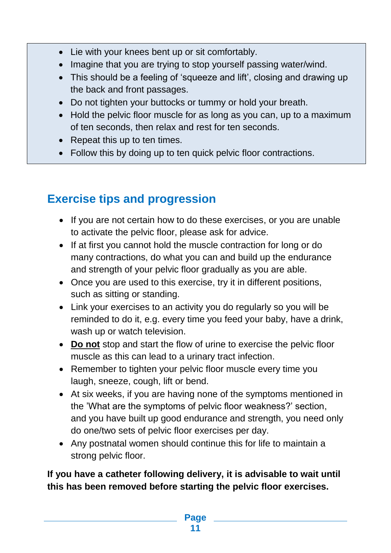- Lie with your knees bent up or sit comfortably.
- Imagine that you are trying to stop yourself passing water/wind.
- This should be a feeling of 'squeeze and lift', closing and drawing up the back and front passages.
- Do not tighten your buttocks or tummy or hold your breath.
- Hold the pelvic floor muscle for as long as you can, up to a maximum of ten seconds, then relax and rest for ten seconds.
- Repeat this up to ten times.
- Follow this by doing up to ten quick pelvic floor contractions.

## **Exercise tips and progression**

- If you are not certain how to do these exercises, or you are unable to activate the pelvic floor, please ask for advice.
- If at first you cannot hold the muscle contraction for long or do many contractions, do what you can and build up the endurance and strength of your pelvic floor gradually as you are able.
- Once you are used to this exercise, try it in different positions, such as sitting or standing.
- Link your exercises to an activity you do regularly so you will be reminded to do it, e.g. every time you feed your baby, have a drink, wash up or watch television.
- **Do not** stop and start the flow of urine to exercise the pelvic floor muscle as this can lead to a urinary tract infection.
- Remember to tighten your pelvic floor muscle every time you laugh, sneeze, cough, lift or bend.
- At six weeks, if you are having none of the symptoms mentioned in the 'What are the symptoms of pelvic floor weakness?' section, and you have built up good endurance and strength, you need only do one/two sets of pelvic floor exercises per day.
- Any postnatal women should continue this for life to maintain a strong pelvic floor.

## **If you have a catheter following delivery, it is advisable to wait until this has been removed before starting the pelvic floor exercises.**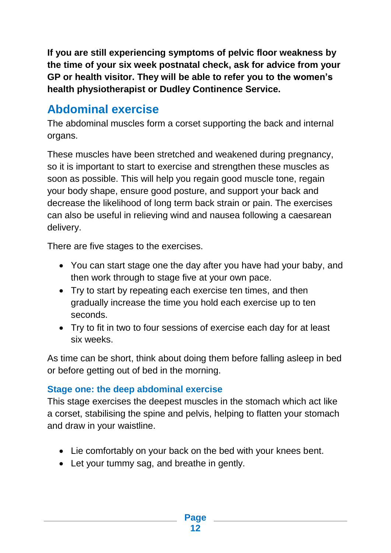**If you are still experiencing symptoms of pelvic floor weakness by the time of your six week postnatal check, ask for advice from your GP or health visitor. They will be able to refer you to the women's health physiotherapist or Dudley Continence Service.**

## **Abdominal exercise**

The abdominal muscles form a corset supporting the back and internal organs.

These muscles have been stretched and weakened during pregnancy, so it is important to start to exercise and strengthen these muscles as soon as possible. This will help you regain good muscle tone, regain your body shape, ensure good posture, and support your back and decrease the likelihood of long term back strain or pain. The exercises can also be useful in relieving wind and nausea following a caesarean delivery.

There are five stages to the exercises.

- You can start stage one the day after you have had your baby, and then work through to stage five at your own pace.
- Try to start by repeating each exercise ten times, and then gradually increase the time you hold each exercise up to ten seconds.
- Try to fit in two to four sessions of exercise each day for at least six weeks.

As time can be short, think about doing them before falling asleep in bed or before getting out of bed in the morning.

## **Stage one: the deep abdominal exercise**

This stage exercises the deepest muscles in the stomach which act like a corset, stabilising the spine and pelvis, helping to flatten your stomach and draw in your waistline.

- Lie comfortably on your back on the bed with your knees bent.
- Let your tummy sag, and breathe in gently.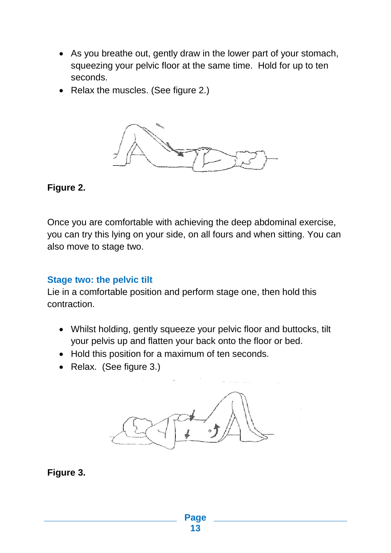- As you breathe out, gently draw in the lower part of your stomach, squeezing your pelvic floor at the same time. Hold for up to ten seconds.
- Relax the muscles. (See figure 2.)



**Figure 2.**

Once you are comfortable with achieving the deep abdominal exercise, you can try this lying on your side, on all fours and when sitting. You can also move to stage two.

#### **Stage two: the pelvic tilt**

Lie in a comfortable position and perform stage one, then hold this contraction.

- Whilst holding, gently squeeze your pelvic floor and buttocks, tilt your pelvis up and flatten your back onto the floor or bed.
- Hold this position for a maximum of ten seconds.
- Relax. (See figure 3.)



## **Figure 3.**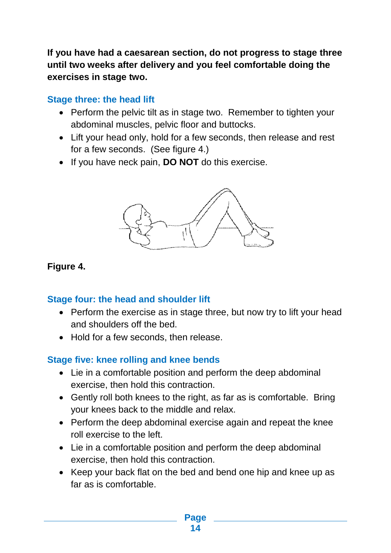**If you have had a caesarean section, do not progress to stage three until two weeks after delivery and you feel comfortable doing the exercises in stage two.**

## **Stage three: the head lift**

- Perform the pelvic tilt as in stage two. Remember to tighten your abdominal muscles, pelvic floor and buttocks.
- Lift your head only, hold for a few seconds, then release and rest for a few seconds. (See figure 4.)
- If you have neck pain, **DO NOT** do this exercise.



## **Figure 4.**

## **Stage four: the head and shoulder lift**

- Perform the exercise as in stage three, but now try to lift your head and shoulders off the bed.
- Hold for a few seconds, then release.

## **Stage five: knee rolling and knee bends**

- Lie in a comfortable position and perform the deep abdominal exercise, then hold this contraction.
- Gently roll both knees to the right, as far as is comfortable. Bring your knees back to the middle and relax.
- Perform the deep abdominal exercise again and repeat the knee roll exercise to the left.
- Lie in a comfortable position and perform the deep abdominal exercise, then hold this contraction.
- Keep your back flat on the bed and bend one hip and knee up as far as is comfortable.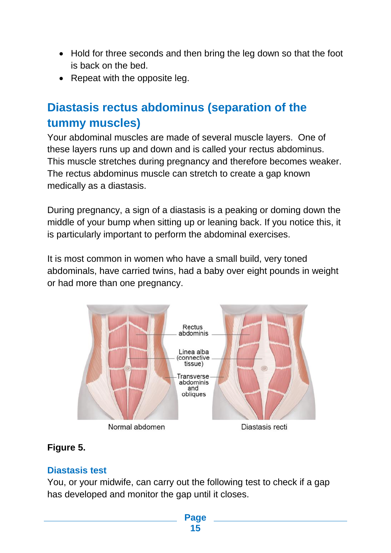- Hold for three seconds and then bring the leg down so that the foot is back on the bed.
- Repeat with the opposite leg.

## **Diastasis rectus abdominus (separation of the tummy muscles)**

Your abdominal muscles are made of several muscle layers. One of these layers runs up and down and is called your rectus abdominus. This muscle stretches during pregnancy and therefore becomes weaker. The rectus abdominus muscle can stretch to create a gap known medically as a diastasis.

During pregnancy, a sign of a diastasis is a peaking or doming down the middle of your bump when sitting up or leaning back. If you notice this, it is particularly important to perform the abdominal exercises.

It is most common in women who have a small build, very toned abdominals, have carried twins, had a baby over eight pounds in weight or had more than one pregnancy.



## **Figure 5.**

## **Diastasis test**

You, or your midwife, can carry out the following test to check if a gap has developed and monitor the gap until it closes.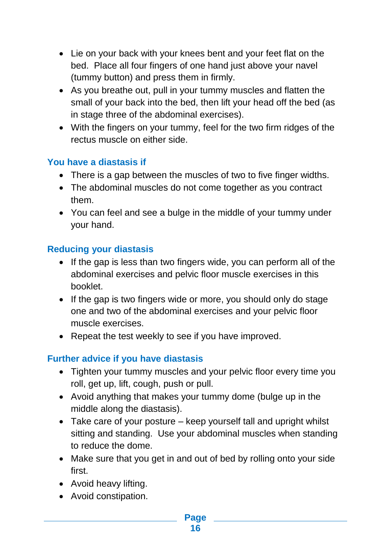- Lie on your back with your knees bent and your feet flat on the bed. Place all four fingers of one hand just above your navel (tummy button) and press them in firmly.
- As you breathe out, pull in your tummy muscles and flatten the small of your back into the bed, then lift your head off the bed (as in stage three of the abdominal exercises).
- With the fingers on your tummy, feel for the two firm ridges of the rectus muscle on either side.

## **You have a diastasis if**

- There is a gap between the muscles of two to five finger widths.
- The abdominal muscles do not come together as you contract them.
- You can feel and see a bulge in the middle of your tummy under your hand.

## **Reducing your diastasis**

- $\bullet$  If the gap is less than two fingers wide, you can perform all of the abdominal exercises and pelvic floor muscle exercises in this booklet.
- If the gap is two fingers wide or more, you should only do stage one and two of the abdominal exercises and your pelvic floor muscle exercises.
- Repeat the test weekly to see if you have improved.

## **Further advice if you have diastasis**

- Tighten your tummy muscles and your pelvic floor every time you roll, get up, lift, cough, push or pull.
- Avoid anything that makes your tummy dome (bulge up in the middle along the diastasis).
- Take care of your posture keep yourself tall and upright whilst sitting and standing. Use your abdominal muscles when standing to reduce the dome.
- Make sure that you get in and out of bed by rolling onto your side first.
- Avoid heavy lifting.
- Avoid constipation.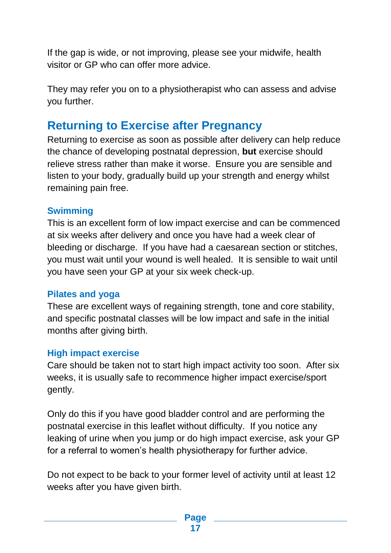If the gap is wide, or not improving, please see your midwife, health visitor or GP who can offer more advice.

They may refer you on to a physiotherapist who can assess and advise you further.

## **Returning to Exercise after Pregnancy**

Returning to exercise as soon as possible after delivery can help reduce the chance of developing postnatal depression, **but** exercise should relieve stress rather than make it worse. Ensure you are sensible and listen to your body, gradually build up your strength and energy whilst remaining pain free.

#### **Swimming**

This is an excellent form of low impact exercise and can be commenced at six weeks after delivery and once you have had a week clear of bleeding or discharge. If you have had a caesarean section or stitches, you must wait until your wound is well healed. It is sensible to wait until you have seen your GP at your six week check-up.

#### **Pilates and yoga**

These are excellent ways of regaining strength, tone and core stability, and specific postnatal classes will be low impact and safe in the initial months after giving birth.

#### **High impact exercise**

Care should be taken not to start high impact activity too soon. After six weeks, it is usually safe to recommence higher impact exercise/sport gently.

Only do this if you have good bladder control and are performing the postnatal exercise in this leaflet without difficulty. If you notice any leaking of urine when you jump or do high impact exercise, ask your GP for a referral to women's health physiotherapy for further advice.

Do not expect to be back to your former level of activity until at least 12 weeks after you have given birth.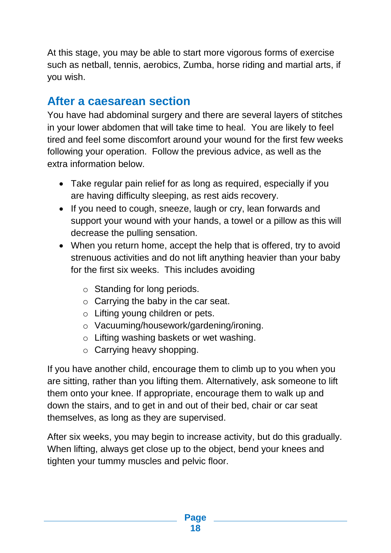At this stage, you may be able to start more vigorous forms of exercise such as netball, tennis, aerobics, Zumba, horse riding and martial arts, if you wish.

## **After a caesarean section**

You have had abdominal surgery and there are several layers of stitches in your lower abdomen that will take time to heal. You are likely to feel tired and feel some discomfort around your wound for the first few weeks following your operation. Follow the previous advice, as well as the extra information below.

- Take regular pain relief for as long as required, especially if you are having difficulty sleeping, as rest aids recovery.
- If you need to cough, sneeze, laugh or cry, lean forwards and support your wound with your hands, a towel or a pillow as this will decrease the pulling sensation.
- When you return home, accept the help that is offered, try to avoid strenuous activities and do not lift anything heavier than your baby for the first six weeks. This includes avoiding
	- o Standing for long periods.
	- $\circ$  Carrying the baby in the car seat.
	- o Lifting young children or pets.
	- o Vacuuming/housework/gardening/ironing.
	- o Lifting washing baskets or wet washing.
	- o Carrying heavy shopping.

If you have another child, encourage them to climb up to you when you are sitting, rather than you lifting them. Alternatively, ask someone to lift them onto your knee. If appropriate, encourage them to walk up and down the stairs, and to get in and out of their bed, chair or car seat themselves, as long as they are supervised.

After six weeks, you may begin to increase activity, but do this gradually. When lifting, always get close up to the object, bend your knees and tighten your tummy muscles and pelvic floor.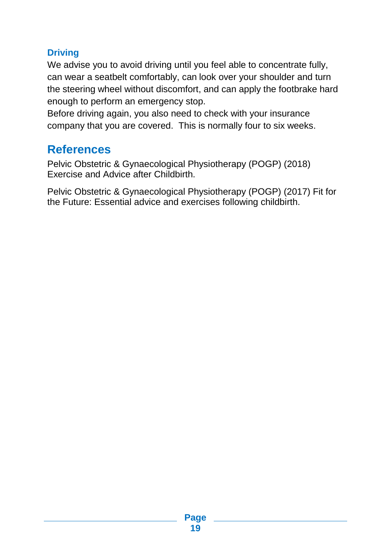## **Driving**

We advise you to avoid driving until you feel able to concentrate fully, can wear a seatbelt comfortably, can look over your shoulder and turn the steering wheel without discomfort, and can apply the footbrake hard enough to perform an emergency stop.

Before driving again, you also need to check with your insurance company that you are covered. This is normally four to six weeks.

## **References**

Pelvic Obstetric & Gynaecological Physiotherapy (POGP) (2018) Exercise and Advice after Childbirth.

Pelvic Obstetric & Gynaecological Physiotherapy (POGP) (2017) Fit for the Future: Essential advice and exercises following childbirth.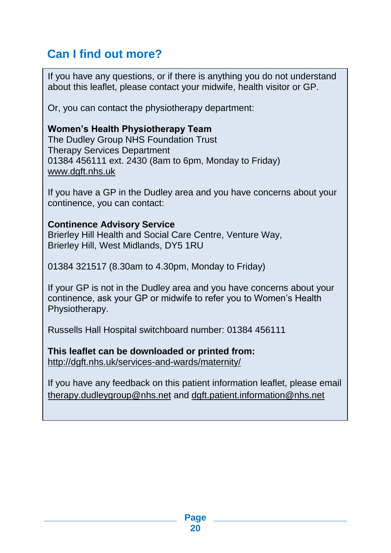## **Can I find out more?**

If you have any questions, or if there is anything you do not understand about this leaflet, please contact your midwife, health visitor or GP.

Or, you can contact the physiotherapy department:

#### **Women's Health Physiotherapy Team**

The Dudley Group NHS Foundation Trust Therapy Services Department 01384 456111 ext. 2430 (8am to 6pm, Monday to Friday) [www.dgft.nhs.uk](http://www.dgft.nhs.uk/)

If you have a GP in the Dudley area and you have concerns about your continence, you can contact:

#### **Continence Advisory Service**

Brierley Hill Health and Social Care Centre, Venture Way, Brierley Hill, West Midlands, DY5 1RU

01384 321517 (8.30am to 4.30pm, Monday to Friday)

If your GP is not in the Dudley area and you have concerns about your continence, ask your GP or midwife to refer you to Women's Health Physiotherapy.

Russells Hall Hospital switchboard number: 01384 456111

#### **This leaflet can be downloaded or printed from:**  <http://dgft.nhs.uk/services-and-wards/maternity/>

If you have any feedback on this patient information leaflet, please email [therapy.dudleygroup@nhs.net](mailto:therapy.dudleygroup@nhs.net) and [dgft.patient.information@nhs.net](mailto:dgft.patient.information@nhs.net)